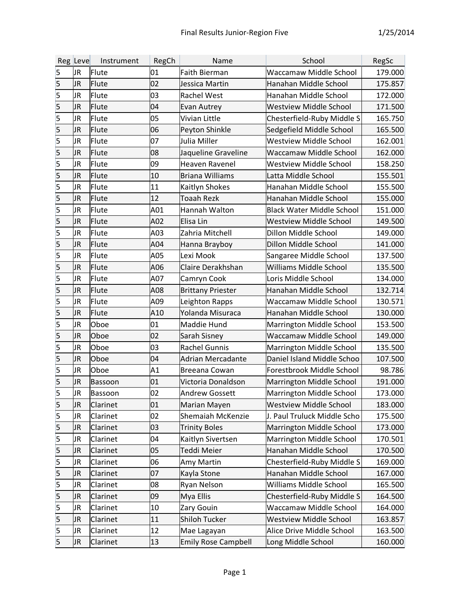|                         | Reg Leve | Instrument     | RegCh | Name                       | School                           | RegSc   |
|-------------------------|----------|----------------|-------|----------------------------|----------------------------------|---------|
| 5                       | JR       | Flute          | 01    | Faith Bierman              | <b>Waccamaw Middle School</b>    | 179.000 |
| 5                       | JR       | Flute          | 02    | Jessica Martin             | Hanahan Middle School            | 175.857 |
| 5                       | JR       | Flute          | 03    | <b>Rachel West</b>         | Hanahan Middle School            | 172.000 |
| $\overline{\mathbf{5}}$ | JR       | Flute          | 04    | Evan Autrey                | <b>Westview Middle School</b>    | 171.500 |
| $\overline{\mathsf{5}}$ | JR       | Flute          | 05    | Vivian Little              | Chesterfield-Ruby Middle S       | 165.750 |
| 5                       | JR       | Flute          | 06    | Peyton Shinkle             | Sedgefield Middle School         | 165.500 |
| 5                       | JR       | Flute          | 07    | Julia Miller               | <b>Westview Middle School</b>    | 162.001 |
| 5                       | JR       | Flute          | 08    | Jaqueline Graveline        | <b>Waccamaw Middle School</b>    | 162.000 |
| 5                       | JR       | Flute          | 09    | Heaven Ravenel             | <b>Westview Middle School</b>    | 158.250 |
| $\overline{\mathbf{5}}$ | JR       | Flute          | 10    | <b>Briana Williams</b>     | Latta Middle School              | 155.501 |
| 5                       | JR       | Flute          | 11    | Kaitlyn Shokes             | Hanahan Middle School            | 155.500 |
| $\overline{\mathsf{5}}$ | JR       | Flute          | 12    | <b>Toaah Rezk</b>          | Hanahan Middle School            | 155.000 |
| 5                       | JR       | Flute          | A01   | Hannah Walton              | <b>Black Water Middle School</b> | 151.000 |
| 5                       | JR       | Flute          | A02   | Elisa Lin                  | <b>Westview Middle School</b>    | 149.500 |
| 5                       | JR       | Flute          | A03   | Zahria Mitchell            | Dillon Middle School             | 149.000 |
| 5                       | JR       | Flute          | A04   | Hanna Brayboy              | Dillon Middle School             | 141.000 |
| 5                       | JR       | Flute          | A05   | Lexi Mook                  | Sangaree Middle School           | 137.500 |
| $\overline{\mathsf{5}}$ | JR       | Flute          | A06   | Claire Derakhshan          | Williams Middle School           | 135.500 |
| 5                       | JR       | Flute          | A07   | Camryn Cook                | Loris Middle School              | 134.000 |
| $\overline{\mathbf{5}}$ | JR       | Flute          | A08   | <b>Brittany Priester</b>   | Hanahan Middle School            | 132.714 |
| 5                       | JR       | Flute          | A09   | Leighton Rapps             | Waccamaw Middle School           | 130.571 |
| 5                       | JR       | Flute          | A10   | Yolanda Misuraca           | Hanahan Middle School            | 130.000 |
| 5                       | JR       | Oboe           | 01    | Maddie Hund                | Marrington Middle School         | 153.500 |
| $\overline{\mathbf{5}}$ | JR       | Oboe           | 02    | Sarah Sisney               | Waccamaw Middle School           | 149.000 |
| $\overline{5}$          | JR       | Oboe           | 03    | <b>Rachel Gunnis</b>       | Marrington Middle School         | 135.500 |
| $\overline{5}$          | JR       | Oboe           | 04    | Adrian Mercadante          | Daniel Island Middle Schoo       | 107.500 |
| 5                       | JR       | Oboe           | A1    | Breeana Cowan              | Forestbrook Middle School        | 98.786  |
| 5                       | JR       | <b>Bassoon</b> | 01    | Victoria Donaldson         | Marrington Middle School         | 191.000 |
| 5                       | JR       | Bassoon        | 02    | <b>Andrew Gossett</b>      | Marrington Middle School         | 173.000 |
| 5                       | JR       | Clarinet       | 01    | Marian Mayen               | <b>Westview Middle School</b>    | 183.000 |
| 5                       | JR       | Clarinet       | 02    | Shemaiah McKenzie          | J. Paul Truluck Middle Scho      | 175.500 |
| $\overline{\mathbf{5}}$ | JR       | Clarinet       | 03    | <b>Trinity Boles</b>       | Marrington Middle School         | 173.000 |
| 5                       | JR       | Clarinet       | 04    | Kaitlyn Sivertsen          | Marrington Middle School         | 170.501 |
| $\overline{\mathbf{5}}$ | JR       | Clarinet       | 05    | Teddi Meier                | Hanahan Middle School            | 170.500 |
| 5                       | JR       | Clarinet       | 06    | Amy Martin                 | Chesterfield-Ruby Middle S       | 169.000 |
| 5                       | JR       | Clarinet       | 07    | Kayla Stone                | Hanahan Middle School            | 167.000 |
| 5                       | JR       | Clarinet       | 08    | <b>Ryan Nelson</b>         | Williams Middle School           | 165.500 |
| $\overline{\mathbf{5}}$ | JR       | Clarinet       | 09    | Mya Ellis                  | Chesterfield-Ruby Middle S       | 164.500 |
| 5                       | JR       | Clarinet       | 10    | Zary Gouin                 | Waccamaw Middle School           | 164.000 |
| 5                       | JR       | Clarinet       | 11    | Shiloh Tucker              | Westview Middle School           | 163.857 |
| 5                       | JR       | Clarinet       | 12    | Mae Lagayan                | Alice Drive Middle School        | 163.500 |
| 5                       | JR       | Clarinet       | 13    | <b>Emily Rose Campbell</b> | Long Middle School               | 160.000 |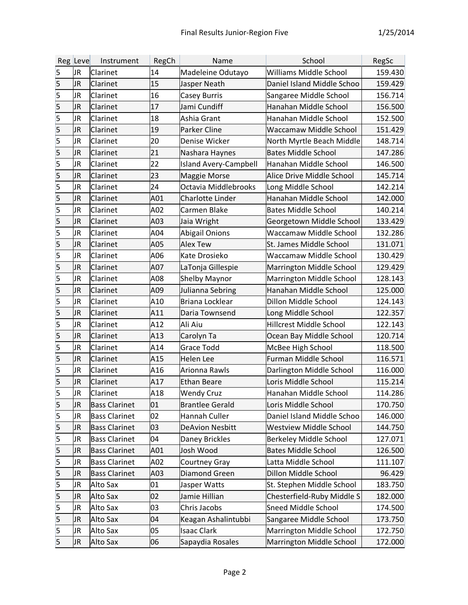|                         | Reg Leve | Instrument           | RegCh           | Name                         | School                         | RegSc   |
|-------------------------|----------|----------------------|-----------------|------------------------------|--------------------------------|---------|
| 5                       | JR       | Clarinet             | 14              | Madeleine Odutayo            | <b>Williams Middle School</b>  | 159.430 |
| 5                       | JR       | Clarinet             | 15              | Jasper Neath                 | Daniel Island Middle Schoo     | 159.429 |
| 5                       | JR       | Clarinet             | 16              | Casey Burris                 | Sangaree Middle School         | 156.714 |
| 5                       | JR       | Clarinet             | 17              | Jami Cundiff                 | Hanahan Middle School          | 156.500 |
| 5                       | JR       | Clarinet             | 18              | Ashia Grant                  | Hanahan Middle School          | 152.500 |
| 5                       | JR       | Clarinet             | 19              | Parker Cline                 | Waccamaw Middle School         | 151.429 |
| 5                       | JR       | Clarinet             | 20              | Denise Wicker                | North Myrtle Beach Middle      | 148.714 |
| 5                       | JR       | Clarinet             | 21              | Nashara Haynes               | <b>Bates Middle School</b>     | 147.286 |
| 5                       | JR       | Clarinet             | 22              | <b>Island Avery-Campbell</b> | Hanahan Middle School          | 146.500 |
| $\overline{\mathsf{5}}$ | JR       | Clarinet             | 23              | Maggie Morse                 | Alice Drive Middle School      | 145.714 |
| 5                       | JR       | Clarinet             | 24              | Octavia Middlebrooks         | Long Middle School             | 142.214 |
| 5                       | JR       | Clarinet             | A01             | <b>Charlotte Linder</b>      | Hanahan Middle School          | 142.000 |
| 5                       | JR       | Clarinet             | A02             | Carmen Blake                 | <b>Bates Middle School</b>     | 140.214 |
| 5                       | JR       | Clarinet             | A <sub>03</sub> | Jaia Wright                  | Georgetown Middle School       | 133.429 |
| 5                       | JR       | Clarinet             | A04             | <b>Abigail Onions</b>        | Waccamaw Middle School         | 132.286 |
| 5                       | JR       | Clarinet             | A05             | <b>Alex Tew</b>              | St. James Middle School        | 131.071 |
| 5                       | JR       | Clarinet             | A06             | Kate Drosieko                | Waccamaw Middle School         | 130.429 |
| $\overline{\mathsf{5}}$ | JR       | Clarinet             | A07             | LaTonja Gillespie            | Marrington Middle School       | 129.429 |
| 5                       | JR       | Clarinet             | A08             | <b>Shelby Maynor</b>         | Marrington Middle School       | 128.143 |
| 5                       | JR       | Clarinet             | A09             | Julianna Sebring             | Hanahan Middle School          | 125.000 |
| 5                       | JR       | Clarinet             | A10             | Briana Locklear              | Dillon Middle School           | 124.143 |
| 5                       | JR       | Clarinet             | A11             | Daria Townsend               | Long Middle School             | 122.357 |
| 5                       | JR       | Clarinet             | A12             | Ali Aiu                      | <b>Hillcrest Middle School</b> | 122.143 |
| 5                       | JR       | Clarinet             | A13             | Carolyn Ta                   | Ocean Bay Middle School        | 120.714 |
| 5                       | JR       | Clarinet             | A14             | <b>Grace Todd</b>            | McBee High School              | 118.500 |
| $\overline{\mathsf{5}}$ | JR       | Clarinet             | A15             | Helen Lee                    | Furman Middle School           | 116.571 |
| 5                       | JR       | Clarinet             | A16             | Arionna Rawls                | Darlington Middle School       | 116.000 |
| 5                       | JR       | Clarinet             | A17             | <b>Ethan Beare</b>           | Loris Middle School            | 115.214 |
| 5                       | JR       | Clarinet             | A18             | <b>Wendy Cruz</b>            | Hanahan Middle School          | 114.286 |
| 5                       | JR       | <b>Bass Clarinet</b> | 01              | <b>Brantlee Gerald</b>       | Loris Middle School            | 170.750 |
| 5                       | JR       | <b>Bass Clarinet</b> | 02              | Hannah Culler                | Daniel Island Middle Schoo     | 146.000 |
| 5                       | JR       | <b>Bass Clarinet</b> | 03              | <b>DeAvion Nesbitt</b>       | <b>Westview Middle School</b>  | 144.750 |
| 5                       | JR       | <b>Bass Clarinet</b> | 04              | Daney Brickles               | Berkeley Middle School         | 127.071 |
| 5                       | JR       | <b>Bass Clarinet</b> | A01             | Josh Wood                    | <b>Bates Middle School</b>     | 126.500 |
| 5                       | JR       | <b>Bass Clarinet</b> | A02             | <b>Courtney Gray</b>         | Latta Middle School            | 111.107 |
| 5                       | JR       | <b>Bass Clarinet</b> | A03             | <b>Diamond Green</b>         | Dillon Middle School           | 96.429  |
| 5                       | JR       | Alto Sax             | 01              | Jasper Watts                 | St. Stephen Middle School      | 183.750 |
| 5                       | JR       | Alto Sax             | 02              | Jamie Hillian                | Chesterfield-Ruby Middle S     | 182.000 |
| 5                       | JR       | Alto Sax             | 03              | Chris Jacobs                 | Sneed Middle School            | 174.500 |
| 5                       | JR       | Alto Sax             | 04              | Keagan Ashalintubbi          | Sangaree Middle School         | 173.750 |
| 5                       | JR       | Alto Sax             | 05              | <b>Isaac Clark</b>           | Marrington Middle School       | 172.750 |
| 5                       | JR       | Alto Sax             | 06              | Sapaydia Rosales             | Marrington Middle School       | 172.000 |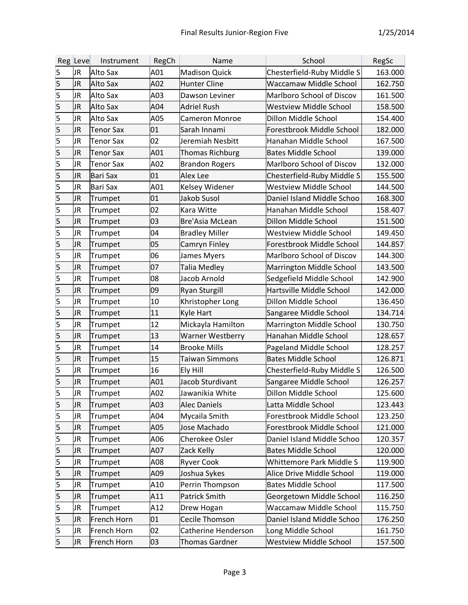|                         | Reg Leve | Instrument       | RegCh | Name                   | School                        | RegSc   |
|-------------------------|----------|------------------|-------|------------------------|-------------------------------|---------|
| 5                       | JR       | Alto Sax         | A01   | <b>Madison Quick</b>   | Chesterfield-Ruby Middle S    | 163.000 |
| 5                       | JR       | Alto Sax         | A02   | <b>Hunter Cline</b>    | Waccamaw Middle School        | 162.750 |
| 5                       | JR       | Alto Sax         | A03   | Dawson Leviner         | Marlboro School of Discov     | 161.500 |
| 5                       | JR       | Alto Sax         | A04   | Adriel Rush            | <b>Westview Middle School</b> | 158.500 |
| 5                       | JR       | Alto Sax         | A05   | <b>Cameron Monroe</b>  | Dillon Middle School          | 154.400 |
| 5                       | JR       | <b>Tenor Sax</b> | 01    | Sarah Innami           | Forestbrook Middle School     | 182.000 |
| 5                       | JR       | <b>Tenor Sax</b> | 02    | Jeremiah Nesbitt       | Hanahan Middle School         | 167.500 |
| 5                       | JR       | <b>Tenor Sax</b> | A01   | <b>Thomas Richburg</b> | <b>Bates Middle School</b>    | 139.000 |
| 5                       | JR       | <b>Tenor Sax</b> | A02   | <b>Brandon Rogers</b>  | Marlboro School of Discov     | 132.000 |
| 5                       | JR       | Bari Sax         | 01    | Alex Lee               | Chesterfield-Ruby Middle S    | 155.500 |
| 5                       | JR       | Bari Sax         | A01   | Kelsey Widener         | <b>Westview Middle School</b> | 144.500 |
| 5                       | JR       | Trumpet          | 01    | Jakob Susol            | Daniel Island Middle Schoo    | 168.300 |
| 5                       | JR       | Trumpet          | 02    | Kara Witte             | Hanahan Middle School         | 158.407 |
| 5                       | JR       | Trumpet          | 03    | Bre'Asia McLean        | Dillon Middle School          | 151.500 |
| 5                       | JR       | Trumpet          | 04    | <b>Bradley Miller</b>  | <b>Westview Middle School</b> | 149.450 |
| 5                       | JR       | Trumpet          | 05    | Camryn Finley          | Forestbrook Middle School     | 144.857 |
| 5                       | JR       | Trumpet          | 06    | James Myers            | Marlboro School of Discov     | 144.300 |
| $\overline{\mathbf{5}}$ | JR       | Trumpet          | 07    | Talia Medley           | Marrington Middle School      | 143.500 |
| 5                       | JR       | Trumpet          | 08    | Jacob Arnold           | Sedgefield Middle School      | 142.900 |
| 5                       | JR       | Trumpet          | 09    | <b>Ryan Sturgill</b>   | Hartsville Middle School      | 142.000 |
| 5                       | JR       | Trumpet          | 10    | Khristopher Long       | Dillon Middle School          | 136.450 |
| 5                       | JR       | Trumpet          | 11    | Kyle Hart              | Sangaree Middle School        | 134.714 |
| 5                       | JR       | Trumpet          | 12    | Mickayla Hamilton      | Marrington Middle School      | 130.750 |
| 5                       | JR       | Trumpet          | 13    | Warner Westberry       | Hanahan Middle School         | 128.657 |
| $\overline{\mathsf{5}}$ | JR       | Trumpet          | 14    | <b>Brooke Mills</b>    | Pageland Middle School        | 128.257 |
| $\overline{5}$          | JR       | Trumpet          | 15    | Taiwan Simmons         | <b>Bates Middle School</b>    | 126.871 |
| 5                       | JR       | Trumpet          | 16    | Ely Hill               | Chesterfield-Ruby Middle S    | 126.500 |
| 5                       | JR       | Trumpet          | A01   | Jacob Sturdivant       | Sangaree Middle School        | 126.257 |
| 5                       | JR       | Trumpet          | A02   | Jawanikia White        | Dillon Middle School          | 125.600 |
| 5                       | JR       | Trumpet          | A03   | <b>Alec Daniels</b>    | Latta Middle School           | 123.443 |
| 5                       | JR       | Trumpet          | A04   | Mycaila Smith          | Forestbrook Middle School     | 123.250 |
| $\overline{\mathsf{5}}$ | JR       | Trumpet          | A05   | Jose Machado           | Forestbrook Middle School     | 121.000 |
| $\overline{\mathbf{5}}$ | JR       | Trumpet          | A06   | Cherokee Osler         | Daniel Island Middle Schoo    | 120.357 |
| $\overline{\mathbf{5}}$ | JR       | Trumpet          | A07   | Zack Kelly             | <b>Bates Middle School</b>    | 120.000 |
| 5                       | JR       | Trumpet          | A08   | <b>Ryver Cook</b>      | Whittemore Park Middle S      | 119.900 |
| 5                       | JR       | Trumpet          | A09   | Joshua Sykes           | Alice Drive Middle School     | 119.000 |
| 5                       | JR       | Trumpet          | A10   | Perrin Thompson        | <b>Bates Middle School</b>    | 117.500 |
| $\overline{\mathbf{5}}$ | JR       | Trumpet          | A11   | Patrick Smith          | Georgetown Middle School      | 116.250 |
| 5                       | JR       | Trumpet          | A12   | Drew Hogan             | Waccamaw Middle School        | 115.750 |
| 5                       | JR       | French Horn      | 01    | Cecile Thomson         | Daniel Island Middle Schoo    | 176.250 |
| 5                       | JR       | French Horn      | 02    | Catherine Henderson    | Long Middle School            | 161.750 |
| 5                       | JR       | French Horn      | 03    | Thomas Gardner         | <b>Westview Middle School</b> | 157.500 |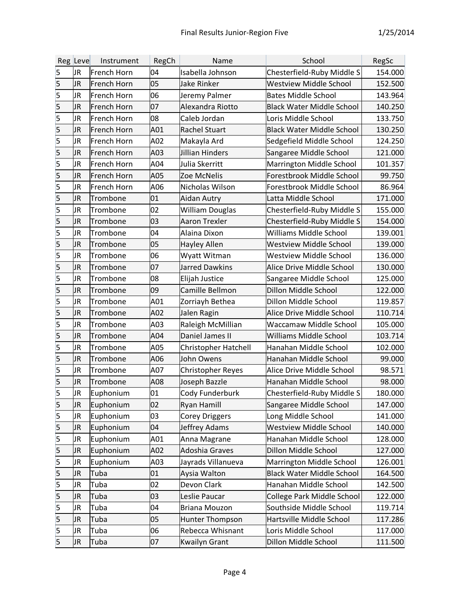|   | Reg Leve  | Instrument  | RegCh | Name                        | School                           | RegSc   |
|---|-----------|-------------|-------|-----------------------------|----------------------------------|---------|
| 5 | JR        | French Horn | 04    | Isabella Johnson            | Chesterfield-Ruby Middle S       | 154.000 |
| 5 | JR        | French Horn | 05    | <b>Jake Rinker</b>          | <b>Westview Middle School</b>    | 152.500 |
| 5 | JR        | French Horn | 06    | Jeremy Palmer               | <b>Bates Middle School</b>       | 143.964 |
| 5 | JR        | French Horn | 07    | Alexandra Riotto            | <b>Black Water Middle School</b> | 140.250 |
| 5 | JR        | French Horn | 08    | Caleb Jordan                | Loris Middle School              | 133.750 |
| 5 | JR        | French Horn | A01   | Rachel Stuart               | <b>Black Water Middle School</b> | 130.250 |
| 5 | JR        | French Horn | A02   | Makayla Ard                 | Sedgefield Middle School         | 124.250 |
| 5 | JR        | French Horn | A03   | <b>Jillian Hinders</b>      | Sangaree Middle School           | 121.000 |
| 5 | JR        | French Horn | A04   | Julia Skerritt              | Marrington Middle School         | 101.357 |
| 5 | JR        | French Horn | A05   | Zoe McNelis                 | Forestbrook Middle School        | 99.750  |
| 5 | JR        | French Horn | A06   | Nicholas Wilson             | Forestbrook Middle School        | 86.964  |
| 5 | JR        | Trombone    | 01    | Aidan Autry                 | Latta Middle School              | 171.000 |
| 5 | JR        | Trombone    | 02    | William Douglas             | Chesterfield-Ruby Middle S       | 155.000 |
| 5 | JR        | Trombone    | 03    | <b>Aaron Trexler</b>        | Chesterfield-Ruby Middle S       | 154.000 |
| 5 | JR        | Trombone    | 04    | Alaina Dixon                | <b>Williams Middle School</b>    | 139.001 |
| 5 | JR        | Trombone    | 05    | Hayley Allen                | <b>Westview Middle School</b>    | 139.000 |
| 5 | JR        | Trombone    | 06    | Wyatt Witman                | <b>Westview Middle School</b>    | 136.000 |
| 5 | JR        | Trombone    | 07    | <b>Jarred Dawkins</b>       | Alice Drive Middle School        | 130.000 |
| 5 | JR        | Trombone    | 08    | Elijah Justice              | Sangaree Middle School           | 125.000 |
| 5 | JR        | Trombone    | 09    | Camille Bellmon             | Dillon Middle School             | 122.000 |
| 5 | JR        | Trombone    | A01   | Zorriayh Bethea             | Dillon Middle School             | 119.857 |
| 5 | JR        | Trombone    | A02   | Jalen Ragin                 | Alice Drive Middle School        | 110.714 |
| 5 | JR        | Trombone    | A03   | Raleigh McMillian           | Waccamaw Middle School           | 105.000 |
| 5 | JR        | Trombone    | A04   | Daniel James II             | <b>Williams Middle School</b>    | 103.714 |
| 5 | JR        | Trombone    | A05   | <b>Christopher Hatchell</b> | Hanahan Middle School            | 102.000 |
| 5 | JR        | Trombone    | A06   | John Owens                  | Hanahan Middle School            | 99.000  |
| 5 | JR        | Trombone    | A07   | <b>Christopher Reyes</b>    | Alice Drive Middle School        | 98.571  |
| 5 | JR        | Trombone    | A08   | Joseph Bazzle               | Hanahan Middle School            | 98.000  |
| 5 | JR        | Euphonium   | 01    | Cody Funderburk             | Chesterfield-Ruby Middle S       | 180.000 |
| 5 | <b>JR</b> | Euphonium   | 02    | <b>Ryan Hamill</b>          | Sangaree Middle School           | 147.000 |
| 5 | JR        | Euphonium   | 03    | <b>Corey Driggers</b>       | Long Middle School               | 141.000 |
| 5 | JR        | Euphonium   | 04    | Jeffrey Adams               | <b>Westview Middle School</b>    | 140.000 |
| 5 | JR        | Euphonium   | A01   | Anna Magrane                | Hanahan Middle School            | 128.000 |
| 5 | JR        | Euphonium   | A02   | Adoshia Graves              | Dillon Middle School             | 127.000 |
| 5 | JR        | Euphonium   | A03   | Jayrads Villanueva          | Marrington Middle School         | 126.001 |
| 5 | JR        | Tuba        | 01    | Aysia Walton                | <b>Black Water Middle School</b> | 164.500 |
| 5 | JR        | Tuba        | 02    | Devon Clark                 | Hanahan Middle School            | 142.500 |
| 5 | JR        | Tuba        | 03    | Leslie Paucar               | College Park Middle School       | 122.000 |
| 5 | JR        | Tuba        | 04    | <b>Briana Mouzon</b>        | Southside Middle School          | 119.714 |
| 5 | JR        | Tuba        | 05    | Hunter Thompson             | Hartsville Middle School         | 117.286 |
| 5 | JR        | Tuba        | 06    | Rebecca Whisnant            | Loris Middle School              | 117.000 |
| 5 | JR        | Tuba        | 07    | <b>Kwailyn Grant</b>        | Dillon Middle School             | 111.500 |